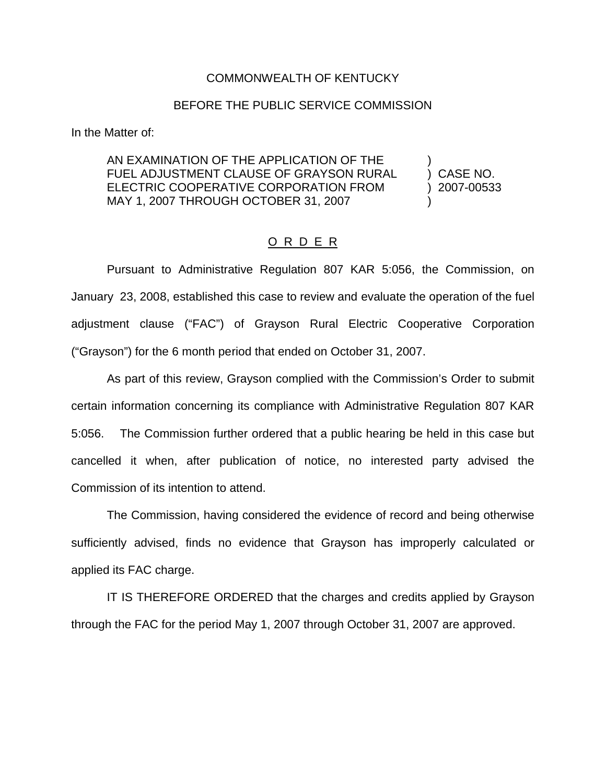## COMMONWEALTH OF KENTUCKY

## BEFORE THE PUBLIC SERVICE COMMISSION

In the Matter of:

AN EXAMINATION OF THE APPLICATION OF THE FUEL ADJUSTMENT CLAUSE OF GRAYSON RURAL ) CASE NO. ELECTRIC COOPERATIVE CORPORATION FROM ) 2007-00533 MAY 1, 2007 THROUGH OCTOBER 31, 2007

## O R D E R

Pursuant to Administrative Regulation 807 KAR 5:056, the Commission, on January 23, 2008, established this case to review and evaluate the operation of the fuel adjustment clause ("FAC") of Grayson Rural Electric Cooperative Corporation ("Grayson") for the 6 month period that ended on October 31, 2007.

As part of this review, Grayson complied with the Commission's Order to submit certain information concerning its compliance with Administrative Regulation 807 KAR 5:056. The Commission further ordered that a public hearing be held in this case but cancelled it when, after publication of notice, no interested party advised the Commission of its intention to attend.

The Commission, having considered the evidence of record and being otherwise sufficiently advised, finds no evidence that Grayson has improperly calculated or applied its FAC charge.

IT IS THEREFORE ORDERED that the charges and credits applied by Grayson through the FAC for the period May 1, 2007 through October 31, 2007 are approved.